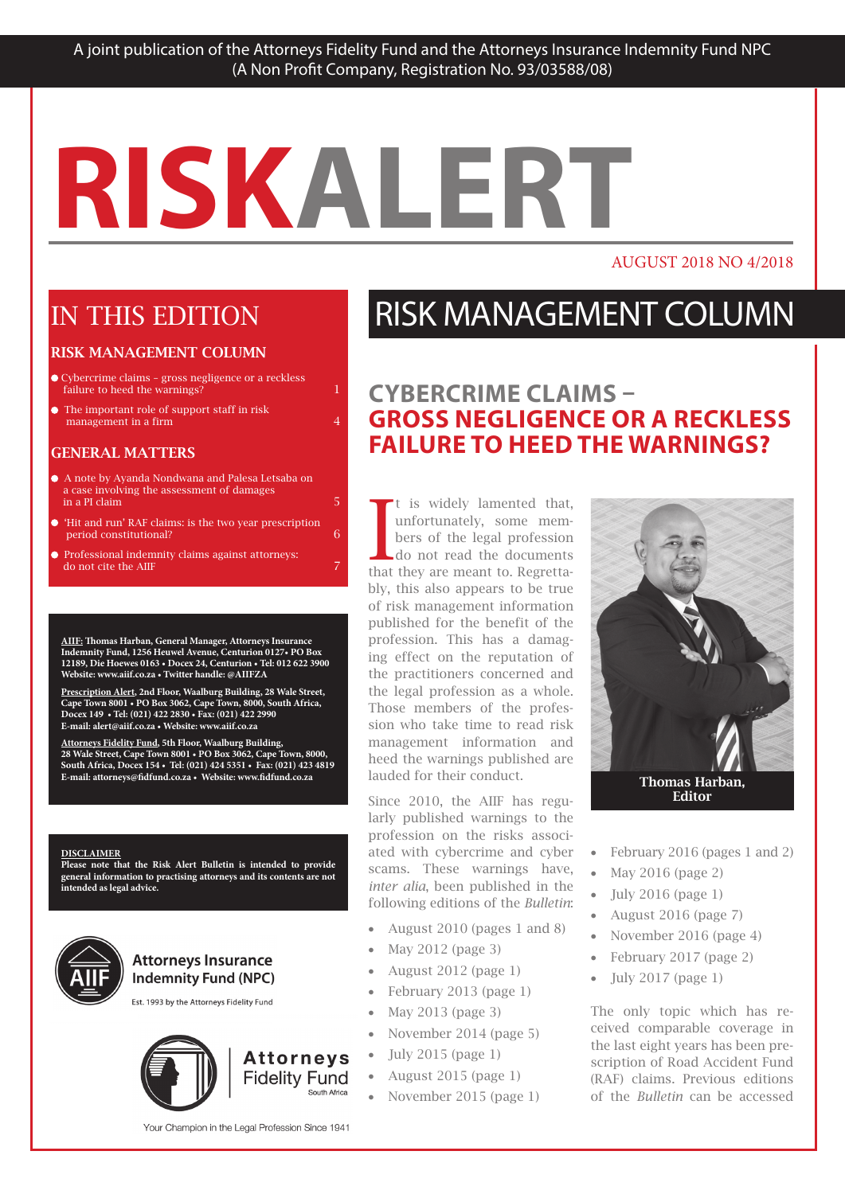## **RISKALERT RISKALERT RISKALERT**

#### AUGUST 2018 NO 4/2018

### IN THIS EDITION IN THIS EDITION

### **RISK MANAGEMENT COLUMN**

- Cybercrime claims gross negligence or a reckless  $f_{\text{sl}lure}$  to bood the warnings? failure to heed the warnings? Richardina claima graca pogligani
- The important role of support staff in risk **management in a firm**  $4$ **Brand in the important role of support staff in risk**

#### GENERAL MATTERS **CONTRACT OF THE STATUTORS**

- $\bullet$  A note by Ayanda Nondwana and Palesa Letsaba on a case involving the assessment of damages  $\frac{1}{2}$  in a PI claim 5  $\frac{1}{2}$  5  $\frac{1}{2}$  5  $\frac{1}{2}$  5  $\frac{1}{2}$  5  $\frac{1}{2}$  5  $\frac{1}{2}$  5  $\frac{1}{2}$  5  $\frac{1}{2}$  5  $\frac{1}{2}$  5  $\frac{1}{2}$  5  $\frac{1}{2}$  5  $\frac{1}{2}$  5  $\frac{1}{2}$  5  $\frac{1}{2}$  5  $\frac{1}{2}$  5  $\frac{1}{2}$  5  $\frac$
- 'Hit and run' RAF claims: is the two year prescription period constitutional? 6 FUND, NPC PROFESSIONAL INDEXENSIONAL INDEXENSIONAL INDEXENSIONAL INDEXENSIONAL INDEXENSIONAL INDEXENSIONAL INDEXENSIONAL INDEXENSIONAL INDEXENSIONAL INDEXENSIONAL INDEXENSIONAL INDEXENSIONAL INDEXENSIONAL INDEXENSIONAL IND

TO 30 JUNE 2017 3

period constructional:<br>Professional indemnity claims against attorneys: In do not cite the AIIF 7 Professional indemnity claims against attorneys: Professional indemnity claims against attorneys:

**AIIF: Thomas Harban, General Manager, Attorneys Insurance Indemnity Fund, 1256 Heuwel Avenue, Centurion 0127• PO Box**  12189, Die Hoewes 0163 • Docex 24, Centurion • Tel: 012 622 3900 **Website: www.aiif.co.za • Twitter handle: @AIIFZA** AHE. Thomas Hayban, Canaval Manage  $\overline{\text{Indemn}}$ ity Fund, 1256 Heuwel Avenue, Centurion 0127. PO Box The Risk Manager responds to a risk management query <u>From</u> Theorem 2011, 2011, 2011, 2011, 2013, 2012, 2013, 2014, 2015, 2016 Indemnity Fund, 1256 Heuwel Avenue. Centurion 0127. PO Box

**Prescription Alert, 2nd Floor, Waalburg Building, 28 Wale Street, Cape Town 8001 • PO Box 3062, Cape Town, 8000, South Africa, Docex 149 • Tel: (021) 422 2830 • Fax: (021) 422 2990 E-mail: alert@aiif.co.za • Website: www.aiif.co.za Indemnity Fund, 1256 Heuwel Avenue, Centurion 0127• PO Box 12189, Die Hoewes 0163 • Docex 24, Centurion • Tel: 012 622 3900** Website: www.aiif.co.za • Twitter www.aiif.co.za

**Attorneys Fidelity Fund, 5th Floor, Waalburg Building, 28 Wale Street, Cape Town 8001 • PO Box 3062, Cape Town, 8000, South Africa, Docex 154 • Tel: (021) 424 5351 • Fax: (021) 423 4819 Prescription Alert, 2nd Floor, Waalburg Building, 28 Wale Street, Cape Town 8001 • PO Box 3062, Cape Town, 8000, South Africa,**  E-mail: attorneys@fidfund.co.za • Website: www.fidfund.co.za <u>Attorneys Fidelity Fund</u>, 5th Floor, Waalburg Build **Ruing Collective Alertica** Building, Waalburg Building, 2006.<br>R.Wale Street, Cane Town 8001 . PO Box 3062, Cane Town, 8000 **Docex 149 • Tel: (021) 422 2830 • Fax: (021) 422 2990 E-mail: info@aiif.co.za • Website: www.aiif.co.za**

#### **E-mail: attorneys.co.za • Website: www.fidfund.co.za • Website: www.fidfund.co.za • Website: www.fidfund.co.z**

**Please note that the Risk Alert Bulletin is intended to provide general information to practising attorneys and its contents are not intended as legal advice. DISCLAIMER DISCLAIMER Please note that the Risk Alexander Bulletin is intended to provide a state and the risk alert Bulletin is in** 

**South Africa, Docex 154 • Tel: (021) 424 5351 • Fax: (021) 423 4819**

**E-mail: attorneys@fidfund.co.za • Website: www.fidfund.co.za**

**Attorneys Fidelity Fund, 5th Floor, Waalburg Building,**



#### **Attorneys Insurance Indemnity Fund (NPC)**

Est. 1993 by the Attorneys Fidelity Fund



#### RISK MANAGEMENT COLUMN RISK MANAGERIERT COLUMN RISK MANAGEMENT COLUMN

#### **BERCRIME CLAIMS -<br>DOCC NEGLIGENCE OD 1 DECKLEGG POLIGENCE OR A RECKLESS**<br>A LEED THE WADNINGS? **CYBERCRIME CLAIMS – GROSS NEGLIGENCE OR A RECKLESS FAILURE TO HEED THE WARNINGS?**

The is widely lamented that, unfortunately, some members of the legal profession unfortunately, some members of the legal profession Policy for the coming insurance year **Example 10** July 1 Cau the documents that they are meant to. Regrettably, this also appears to be true bly, this also appears to be true<br>of risk management information published for the benefit of the promotion and the members of the profession. This has a dailing ing effect on the reputation of the practitioners concerned and the practitioners concerned and<br>the legal profession as a whole. Those members of the profession who take time to read risk management information and thangement information and the interval interests published are lauded for their conduct. It is widely lamented that,<br>unfortunately, some memt is widely lamented that, do not read the documents  $\frac{1}{3}$  do not read the documents It is widely lamented that,<br>unfortunately, some mem-<br>bers of the legal profession<br>do not read the documents<br>that they are meant to. Regrettaprofession. This has a damagspecific areas of your product of your product of your product of the set of the set of the set of the set of the set of the set of the set of the set of the set of the set of the set of the set of the set of the set of th ing effect on the reputation of the interests of the public and the public and the public and the public and the public and the public and the heed the warnings published are

Since 2010, the AIIF has reguthe plant and clearest and clearest language possible it makes to the profession on the risks associated with cybercrime and cyber ated with cybercrime and cyber<br>scams. These warnings have, *inter alia*, been published in the following editions of the *Bulletin*: same as in the previous year. larly published warnings to the ally published walkings to the profession on the risks associ-

- *What are the area*  $\frac{1}{2}$ *What are the*  • August 2010 (pages 1 and 8)
- May 2012 (page 3) *noteworthy changes?* • May 2012 (page 3)
- August 2012 (page  $1$ )
- Ø Only legal services in respect of  $\bullet$  - repruary 2013 (page 1)  $F_1$   $\vdots$  0019  $\langle \ldots, 1 \rangle$ • February 2013 (page  $1$ )
- May 2013 (page 3)
- $\frac{1}{2}$  and  $\frac{1}{2}$  only be  $\frac{1}{2}$  $\bullet$  indefinities  $2014$  (page 3)  $N_{\text{reco}}$  do  $2014$  (see person doing such as  $\sim$ • November 2014 (page 5)
- July 2015 (page 1)
- $\frac{1}{\sqrt{2}}$  $T = \frac{1}{2}$  and  $T = 0$  is  $T = 0$  if  $\frac{1}{2}$  if  $\frac{1}{2}$  if  $\frac{1}{2}$ • August 2015 (page 1)
- November 2015 (page  $1$ ) deductible, for failing to use or • November 2015 (page  $1$ )



• February 2016 (pages 1 and 2) • February 2016 (pages 1 and 2)

in matters where documents are

"witnessed" with the signature the signature  $w$ 

- May 2016 (page 2) class 13  $\frac{1}{2}$  and  $\frac{1}{2}$  and  $\frac{1}{2}$
- $\bullet$  July 2016 (p columns A and B. • July 2016 (page 1)
- August 2016 (page 7)
- November 2016 (page 4)
- Liability arising out of cybercrime  $\bullet$  - repruary 2017 (page 2) • February 2017 (page 2)  $\mathbf{L}$  arising out of the missap-
- July 2017 (page  $1$ ) • July 2017 (page  $1$ )

The only topic which has reto comparable coverage in er temperant coverage in the 1991 eigh Liption of Koau Accident Fund (RAF) claims. Previous editions of the *Bulletin* can be accessed ceived comparable coverage in the last eight years has been prescription of Road Accident Fund  $\sum_{i=1}^{n}$ (RAF) claims. Previous editions

Your Champion in the Legal Profession Since 1941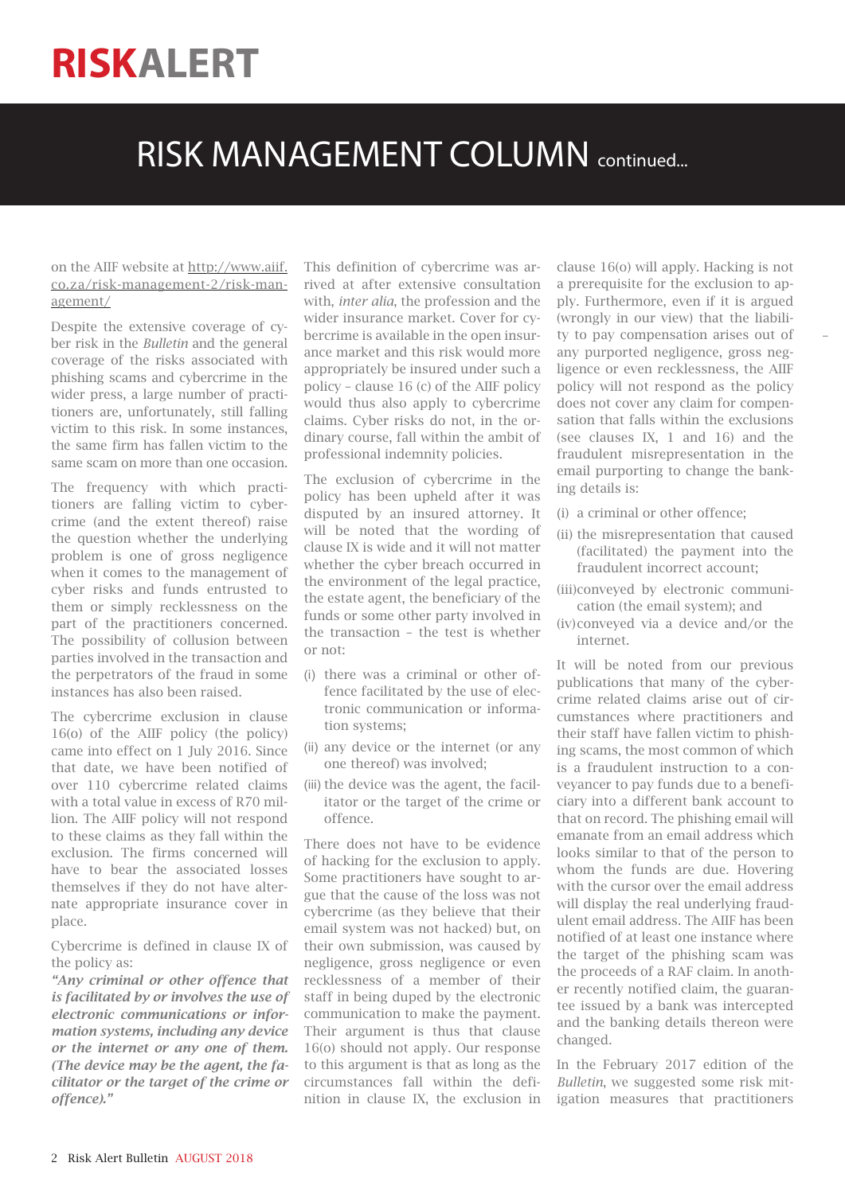## RISK MANAGEMENT COLUMN continued...

#### on the AIIF website at http://www.aiif. co.za/risk-management-2/risk-management/

Despite the extensive coverage of cyber risk in the *Bulletin* and the general coverage of the risks associated with phishing scams and cybercrime in the wider press, a large number of practitioners are, unfortunately, still falling victim to this risk. In some instances, the same firm has fallen victim to the same scam on more than one occasion.

The frequency with which practitioners are falling victim to cybercrime (and the extent thereof) raise the question whether the underlying problem is one of gross negligence when it comes to the management of cyber risks and funds entrusted to them or simply recklessness on the part of the practitioners concerned. The possibility of collusion between parties involved in the transaction and the perpetrators of the fraud in some instances has also been raised.

The cybercrime exclusion in clause 16(o) of the AIIF policy (the policy) came into effect on 1 July 2016. Since that date, we have been notified of over 110 cybercrime related claims with a total value in excess of R70 million. The AIIF policy will not respond to these claims as they fall within the exclusion. The firms concerned will have to bear the associated losses themselves if they do not have alternate appropriate insurance cover in place.

Cybercrime is defined in clause IX of the policy as:

*"Any criminal or other offence that is facilitated by or involves the use of electronic communications or information systems, including any device or the internet or any one of them. (The device may be the agent, the facilitator or the target of the crime or offence)."*

This definition of cybercrime was arrived at after extensive consultation with, *inter alia*, the profession and the wider insurance market. Cover for cybercrime is available in the open insurance market and this risk would more appropriately be insured under such a policy – clause 16 (c) of the AIIF policy would thus also apply to cybercrime claims. Cyber risks do not, in the ordinary course, fall within the ambit of professional indemnity policies.

The exclusion of cybercrime in the policy has been upheld after it was disputed by an insured attorney. It will be noted that the wording of clause IX is wide and it will not matter whether the cyber breach occurred in the environment of the legal practice, the estate agent, the beneficiary of the funds or some other party involved in the transaction – the test is whether or not:

- (i) there was a criminal or other offence facilitated by the use of electronic communication or information systems;
- (ii) any device or the internet (or any one thereof) was involved;
- (iii) the device was the agent, the facilitator or the target of the crime or offence.

There does not have to be evidence of hacking for the exclusion to apply. Some practitioners have sought to argue that the cause of the loss was not cybercrime (as they believe that their email system was not hacked) but, on their own submission, was caused by negligence, gross negligence or even recklessness of a member of their staff in being duped by the electronic communication to make the payment. Their argument is thus that clause 16(o) should not apply. Our response to this argument is that as long as the circumstances fall within the definition in clause IX, the exclusion in clause 16(o) will apply. Hacking is not a prerequisite for the exclusion to apply. Furthermore, even if it is argued (wrongly in our view) that the liability to pay compensation arises out of any purported negligence, gross negligence or even recklessness, the AIIF policy will not respond as the policy does not cover any claim for compensation that falls within the exclusions (see clauses IX, 1 and 16) and the fraudulent misrepresentation in the email purporting to change the banking details is:

–

- (i) a criminal or other offence;
- (ii) the misrepresentation that caused (facilitated) the payment into the fraudulent incorrect account;
- (iii)conveyed by electronic communication (the email system); and
- (iv)conveyed via a device and/or the internet.

It will be noted from our previous publications that many of the cybercrime related claims arise out of circumstances where practitioners and their staff have fallen victim to phishing scams, the most common of which is a fraudulent instruction to a conveyancer to pay funds due to a beneficiary into a different bank account to that on record. The phishing email will emanate from an email address which looks similar to that of the person to whom the funds are due. Hovering with the cursor over the email address will display the real underlying fraudulent email address. The AIIF has been notified of at least one instance where the target of the phishing scam was the proceeds of a RAF claim. In another recently notified claim, the guarantee issued by a bank was intercepted and the banking details thereon were changed.

In the February 2017 edition of the *Bulletin*, we suggested some risk mitigation measures that practitioners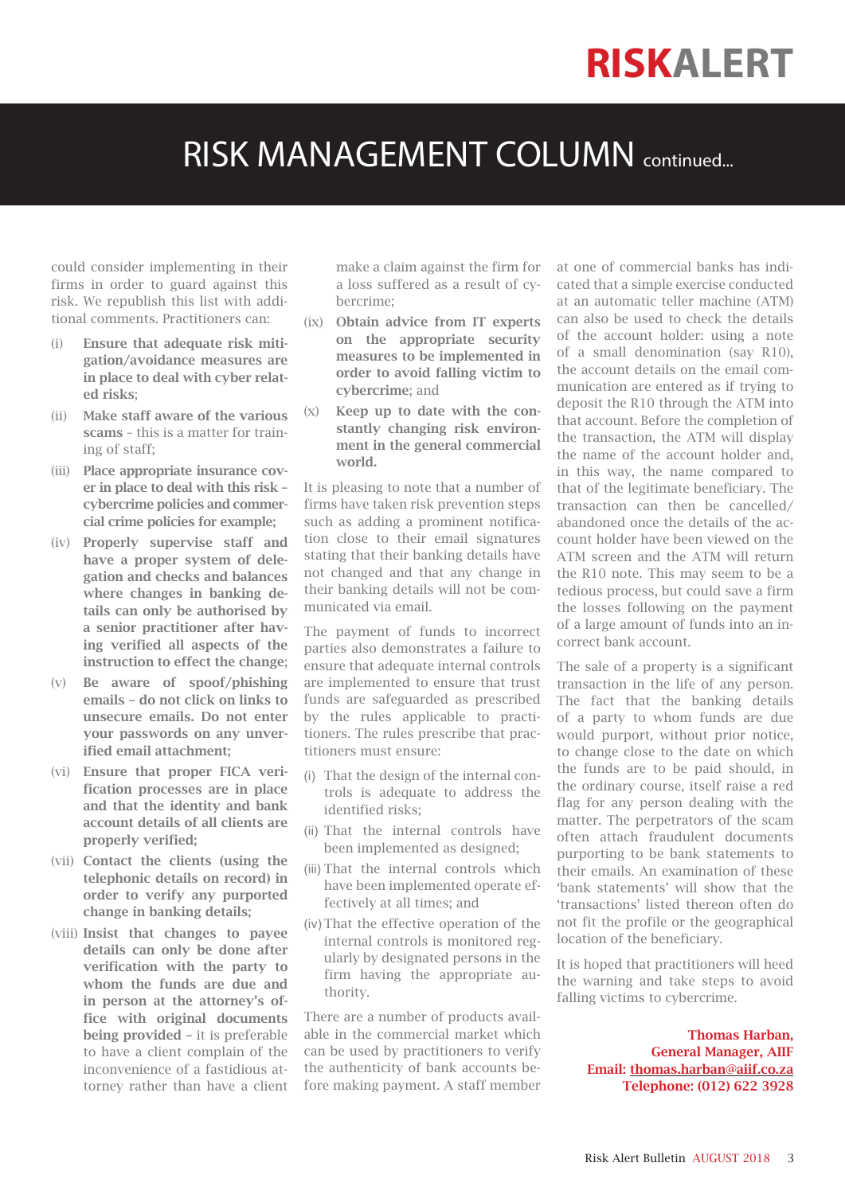## RISK MANAGEMENT COLUMN continued...

could consider implementing in their firms in order to guard against this risk. We republish this list with additional comments. Practitioners can:

- (i) Ensure that adequate risk mitigation/avoidance measures are in place to deal with cyber related risks;
- (ii) Make staff aware of the various scams – this is a matter for training of staff;
- (iii) Place appropriate insurance cover in place to deal with this risk – cybercrime policies and commercial crime policies for example;
- (iv) Properly supervise staff and have a proper system of delegation and checks and balances where changes in banking details can only be authorised by a senior practitioner after having verified all aspects of the instruction to effect the change;
- (v) Be aware of spoof/phishing emails – do not click on links to unsecure emails. Do not enter your passwords on any unverified email attachment;
- (vi) Ensure that proper FICA verification processes are in place and that the identity and bank account details of all clients are properly verified;
- (vii) Contact the clients (using the telephonic details on record) in order to verify any purported change in banking details;
- (viii) Insist that changes to payee details can only be done after verification with the party to whom the funds are due and in person at the attorney's office with original documents being provided – it is preferable to have a client complain of the inconvenience of a fastidious attorney rather than have a client

make a claim against the firm for a loss suffered as a result of cybercrime;

- (ix) Obtain advice from IT experts on the appropriate security measures to be implemented in order to avoid falling victim to cybercrime; and
- (x) Keep up to date with the constantly changing risk environment in the general commercial world.

It is pleasing to note that a number of firms have taken risk prevention steps such as adding a prominent notification close to their email signatures stating that their banking details have not changed and that any change in their banking details will not be communicated via email.

The payment of funds to incorrect parties also demonstrates a failure to ensure that adequate internal controls are implemented to ensure that trust funds are safeguarded as prescribed by the rules applicable to practitioners. The rules prescribe that practitioners must ensure:

- (i) That the design of the internal controls is adequate to address the identified risks;
- (ii) That the internal controls have been implemented as designed;
- (iii) That the internal controls which have been implemented operate effectively at all times; and
- (iv) That the effective operation of the internal controls is monitored regularly by designated persons in the firm having the appropriate authority.

There are a number of products available in the commercial market which can be used by practitioners to verify the authenticity of bank accounts before making payment. A staff member at one of commercial banks has indicated that a simple exercise conducted at an automatic teller machine (ATM) can also be used to check the details of the account holder: using a note of a small denomination (say R10), the account details on the email communication are entered as if trying to deposit the R10 through the ATM into that account. Before the completion of the transaction, the ATM will display the name of the account holder and, in this way, the name compared to that of the legitimate beneficiary. The transaction can then be cancelled/ abandoned once the details of the account holder have been viewed on the ATM screen and the ATM will return the R10 note. This may seem to be a tedious process, but could save a firm the losses following on the payment of a large amount of funds into an incorrect bank account.

The sale of a property is a significant transaction in the life of any person. The fact that the banking details of a party to whom funds are due would purport, without prior notice, to change close to the date on which the funds are to be paid should, in the ordinary course, itself raise a red flag for any person dealing with the matter. The perpetrators of the scam often attach fraudulent documents purporting to be bank statements to their emails. An examination of these 'bank statements' will show that the 'transactions' listed thereon often do not fit the profile or the geographical location of the beneficiary.

It is hoped that practitioners will heed the warning and take steps to avoid falling victims to cybercrime.

> Thomas Harban, General Manager, AIIF Email: thomas.harban@aiif.co.za Telephone: (012) 622 3928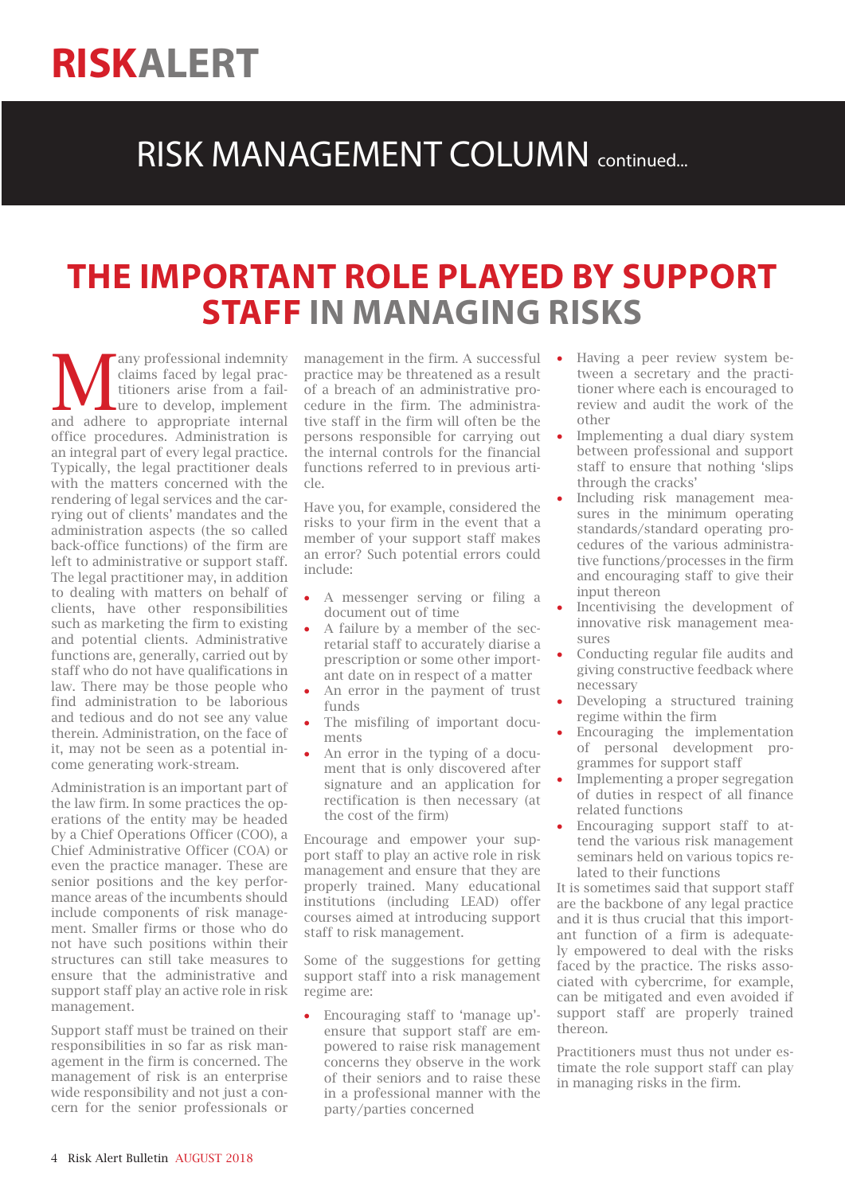### RISK MANAGEMENT COLUMN continued...

### **THE IMPORTANT ROLE PLAYED BY SUPPORT STAFF IN MANAGING RISKS**

**Many professional indemnity**<br>
claims faced by legal prac-<br>
titioners arise from a fail-<br>
and adhere to appropriate internal claims faced by legal practitioners arise from a failure to develop, implement office procedures. Administration is an integral part of every legal practice. Typically, the legal practitioner deals with the matters concerned with the rendering of legal services and the carrying out of clients' mandates and the administration aspects (the so called back-office functions) of the firm are left to administrative or support staff. The legal practitioner may, in addition to dealing with matters on behalf of clients, have other responsibilities such as marketing the firm to existing and potential clients. Administrative functions are, generally, carried out by staff who do not have qualifications in law. There may be those people who find administration to be laborious and tedious and do not see any value therein. Administration, on the face of it, may not be seen as a potential income generating work-stream.

Administration is an important part of the law firm. In some practices the operations of the entity may be headed by a Chief Operations Officer (COO), a Chief Administrative Officer (COA) or even the practice manager. These are senior positions and the key performance areas of the incumbents should include components of risk management. Smaller firms or those who do not have such positions within their structures can still take measures to ensure that the administrative and support staff play an active role in risk management.

Support staff must be trained on their responsibilities in so far as risk management in the firm is concerned. The management of risk is an enterprise wide responsibility and not just a concern for the senior professionals or

management in the firm. A successful  $\bullet$ practice may be threatened as a result of a breach of an administrative procedure in the firm. The administrative staff in the firm will often be the persons responsible for carrying out the internal controls for the financial functions referred to in previous arti $c \cdot a$ 

Have you, for example, considered the risks to your firm in the event that a member of your support staff makes an error? Such potential errors could include:

- A messenger serving or filing a document out of time
- A failure by a member of the secretarial staff to accurately diarise a prescription or some other important date on in respect of a matter
- An error in the payment of trust funds
- The misfiling of important documents
- An error in the typing of a document that is only discovered after signature and an application for rectification is then necessary (at the cost of the firm)

Encourage and empower your support staff to play an active role in risk management and ensure that they are properly trained. Many educational institutions (including LEAD) offer courses aimed at introducing support staff to risk management.

Some of the suggestions for getting support staff into a risk management regime are:

• Encouraging staff to 'manage up' ensure that support staff are empowered to raise risk management concerns they observe in the work of their seniors and to raise these in a professional manner with the party/parties concerned

- Having a peer review system between a secretary and the practitioner where each is encouraged to review and audit the work of the other
- Implementing a dual diary system between professional and support staff to ensure that nothing 'slips through the cracks'
- Including risk management measures in the minimum operating standards/standard operating procedures of the various administrative functions/processes in the firm and encouraging staff to give their input thereon
- Incentivising the development of innovative risk management measures
- Conducting regular file audits and giving constructive feedback where necessary
- Developing a structured training regime within the firm
- Encouraging the implementation of personal development programmes for support staff
- Implementing a proper segregation of duties in respect of all finance related functions
- Encouraging support staff to attend the various risk management seminars held on various topics related to their functions

It is sometimes said that support staff are the backbone of any legal practice and it is thus crucial that this important function of a firm is adequately empowered to deal with the risks faced by the practice. The risks associated with cybercrime, for example, can be mitigated and even avoided if support staff are properly trained thereon.

Practitioners must thus not under estimate the role support staff can play in managing risks in the firm.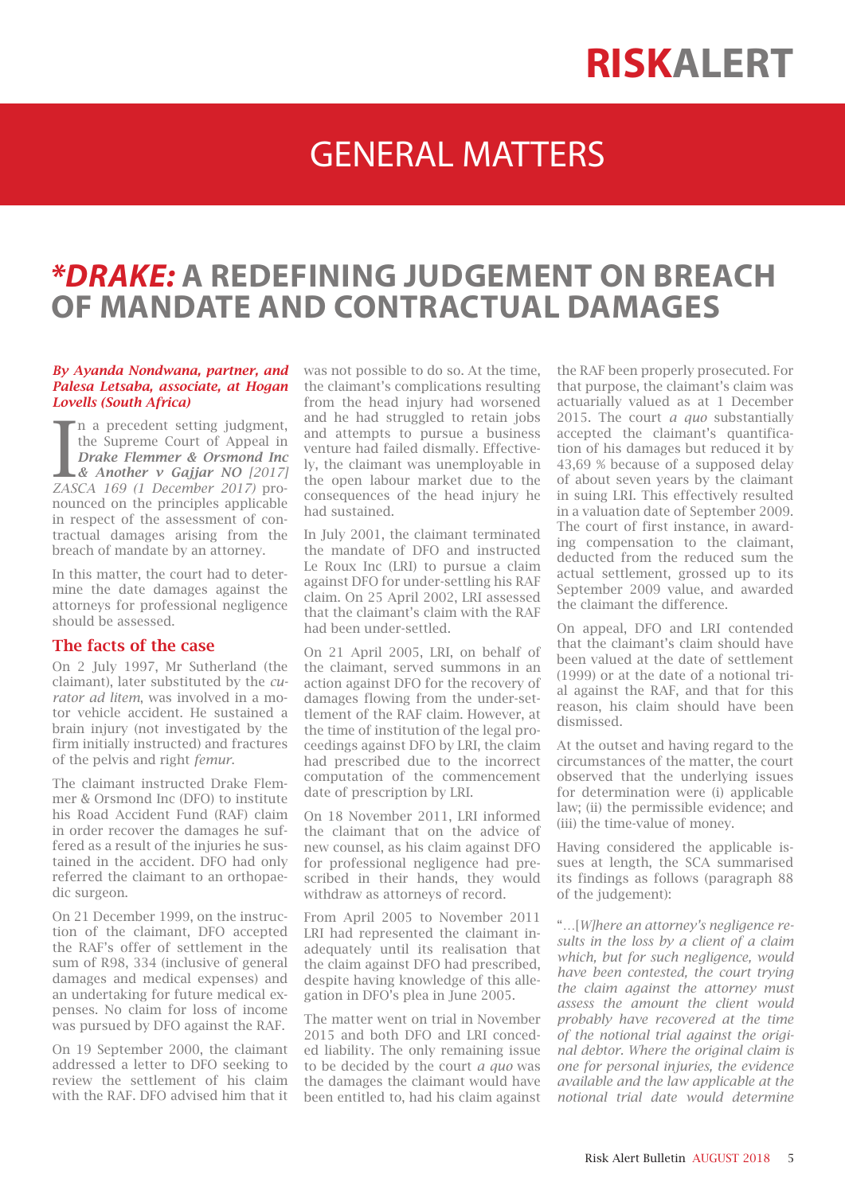## GENERAL MATTERS

### *\*DRAKE:* **A REDEFINING JUDGEMENT ON BREACH OF MANDATE AND CONTRACTUAL DAMAGES**

#### *By Ayanda Nondwana, partner, and Palesa Letsaba, associate, at Hogan Lovells (South Africa)*

**I** a precedent setting judgment,<br>the Supreme Court of Appeal in<br>*Drake Flemmer & Orsmond Inc*<br>& Another v Gajjar NO [2017]<br>ZASCA 169 (1 December 2017) pron a precedent setting judgment, the Supreme Court of Appeal in *Drake Flemmer & Orsmond Inc & Another v Gajjar NO [2017]*  nounced on the principles applicable in respect of the assessment of contractual damages arising from the breach of mandate by an attorney.

In this matter, the court had to determine the date damages against the attorneys for professional negligence should be assessed.

#### The facts of the case

On 2 July 1997, Mr Sutherland (the claimant), later substituted by the *curator ad litem*, was involved in a motor vehicle accident. He sustained a brain injury (not investigated by the firm initially instructed) and fractures of the pelvis and right *femur*.

The claimant instructed Drake Flemmer & Orsmond Inc (DFO) to institute his Road Accident Fund (RAF) claim in order recover the damages he suffered as a result of the injuries he sustained in the accident. DFO had only referred the claimant to an orthopaedic surgeon.

On 21 December 1999, on the instruction of the claimant, DFO accepted the RAF's offer of settlement in the sum of R98, 334 (inclusive of general damages and medical expenses) and an undertaking for future medical expenses. No claim for loss of income was pursued by DFO against the RAF.

On 19 September 2000, the claimant addressed a letter to DFO seeking to review the settlement of his claim with the RAF. DFO advised him that it was not possible to do so. At the time, the claimant's complications resulting from the head injury had worsened and he had struggled to retain jobs and attempts to pursue a business venture had failed dismally. Effectively, the claimant was unemployable in the open labour market due to the consequences of the head injury he had sustained.

In July 2001, the claimant terminated the mandate of DFO and instructed Le Roux Inc (LRI) to pursue a claim against DFO for under-settling his RAF claim. On 25 April 2002, LRI assessed that the claimant's claim with the RAF had been under-settled.

On 21 April 2005, LRI, on behalf of the claimant, served summons in an action against DFO for the recovery of damages flowing from the under-settlement of the RAF claim. However, at the time of institution of the legal proceedings against DFO by LRI, the claim had prescribed due to the incorrect computation of the commencement date of prescription by LRI.

On 18 November 2011, LRI informed the claimant that on the advice of new counsel, as his claim against DFO for professional negligence had prescribed in their hands, they would withdraw as attorneys of record.

From April 2005 to November 2011 LRI had represented the claimant inadequately until its realisation that the claim against DFO had prescribed, despite having knowledge of this allegation in DFO's plea in June 2005.

The matter went on trial in November 2015 and both DFO and LRI conceded liability. The only remaining issue to be decided by the court *a quo* was the damages the claimant would have been entitled to, had his claim against the RAF been properly prosecuted. For that purpose, the claimant's claim was actuarially valued as at 1 December 2015. The court *a quo* substantially accepted the claimant's quantification of his damages but reduced it by 43,69 % because of a supposed delay of about seven years by the claimant in suing LRI. This effectively resulted in a valuation date of September 2009. The court of first instance, in awarding compensation to the claimant, deducted from the reduced sum the actual settlement, grossed up to its September 2009 value, and awarded the claimant the difference.

On appeal, DFO and LRI contended that the claimant's claim should have been valued at the date of settlement (1999) or at the date of a notional trial against the RAF, and that for this reason, his claim should have been dismissed.

At the outset and having regard to the circumstances of the matter, the court observed that the underlying issues for determination were (i) applicable law; (ii) the permissible evidence; and (iii) the time-value of money.

Having considered the applicable issues at length, the SCA summarised its findings as follows (paragraph 88 of the judgement):

"…[*W]here an attorney's negligence results in the loss by a client of a claim which, but for such negligence, would have been contested, the court trying the claim against the attorney must assess the amount the client would probably have recovered at the time of the notional trial against the original debtor. Where the original claim is one for personal injuries, the evidence available and the law applicable at the notional trial date would determine*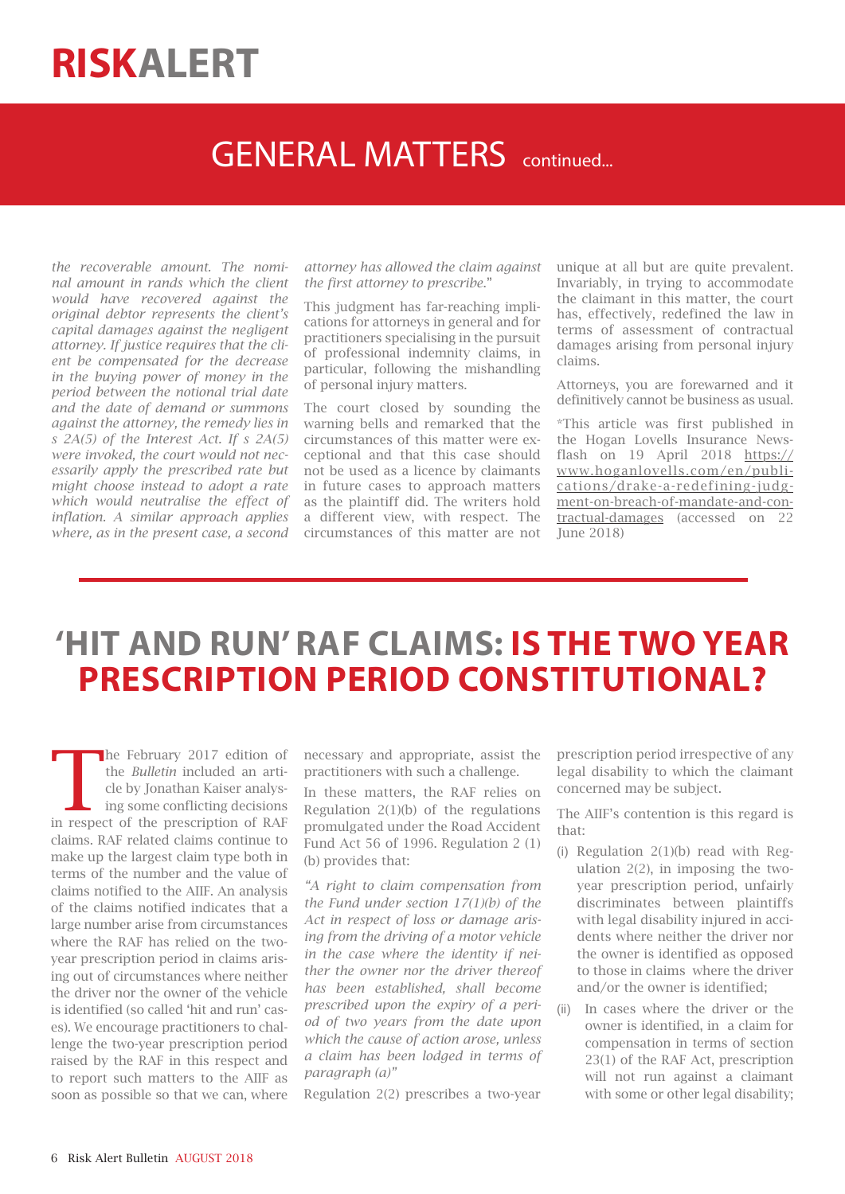### GENERAL MATTERS continued...

*the recoverable amount. The nominal amount in rands which the client would have recovered against the original debtor represents the client's capital damages against the negligent attorney. If justice requires that the client be compensated for the decrease in the buying power of money in the period between the notional trial date and the date of demand or summons against the attorney, the remedy lies in s 2A(5) of the Interest Act. If s 2A(5) were invoked, the court would not necessarily apply the prescribed rate but might choose instead to adopt a rate which would neutralise the effect of inflation. A similar approach applies where, as in the present case, a second* 

*attorney has allowed the claim against the first attorney to prescribe*."

This judgment has far-reaching implications for attorneys in general and for practitioners specialising in the pursuit of professional indemnity claims, in particular, following the mishandling of personal injury matters.

The court closed by sounding the warning bells and remarked that the circumstances of this matter were exceptional and that this case should not be used as a licence by claimants in future cases to approach matters as the plaintiff did. The writers hold a different view, with respect. The circumstances of this matter are not

unique at all but are quite prevalent. Invariably, in trying to accommodate the claimant in this matter, the court has, effectively, redefined the law in terms of assessment of contractual damages arising from personal injury claims.

Attorneys, you are forewarned and it definitively cannot be business as usual.

\*This article was first published in the Hogan Lovells Insurance Newsflash on 19 April 2018 https:// www.hoganlovells.com/en/publications/drake-a-redefining-judgment-on-breach-of-mandate-and-contractual-damages (accessed on 22 June 2018)

### **'HIT AND RUN' RAF CLAIMS: IS THE TWO YEAR PRESCRIPTION PERIOD CONSTITUTIONAL?**

The February 2017 edition of the *Bulletin* included an article by Jonathan Kaiser analysing some conflicting decisions in respect of the prescription of RAF claims. RAF related claims continue to make up the largest claim type both in terms of the number and the value of claims notified to the AIIF. An analysis of the claims notified indicates that a large number arise from circumstances where the RAF has relied on the twoyear prescription period in claims arising out of circumstances where neither the driver nor the owner of the vehicle is identified (so called 'hit and run' cases). We encourage practitioners to challenge the two-year prescription period raised by the RAF in this respect and to report such matters to the AIIF as soon as possible so that we can, where

necessary and appropriate, assist the practitioners with such a challenge.

In these matters, the RAF relies on Regulation  $2(1)(b)$  of the regulations promulgated under the Road Accident Fund Act 56 of 1996. Regulation 2 (1) (b) provides that:

*"A right to claim compensation from the Fund under section 17(1)(b) of the Act in respect of loss or damage arising from the driving of a motor vehicle in the case where the identity if neither the owner nor the driver thereof has been established, shall become prescribed upon the expiry of a period of two years from the date upon which the cause of action arose, unless a claim has been lodged in terms of paragraph (a)"*

Regulation 2(2) prescribes a two-year

prescription period irrespective of any legal disability to which the claimant concerned may be subject.

The AIIF's contention is this regard is that:

- (i) Regulation 2(1)(b) read with Regulation 2(2), in imposing the twoyear prescription period, unfairly discriminates between plaintiffs with legal disability injured in accidents where neither the driver nor the owner is identified as opposed to those in claims where the driver and/or the owner is identified;
- (ii) In cases where the driver or the owner is identified, in a claim for compensation in terms of section 23(1) of the RAF Act, prescription will not run against a claimant with some or other legal disability;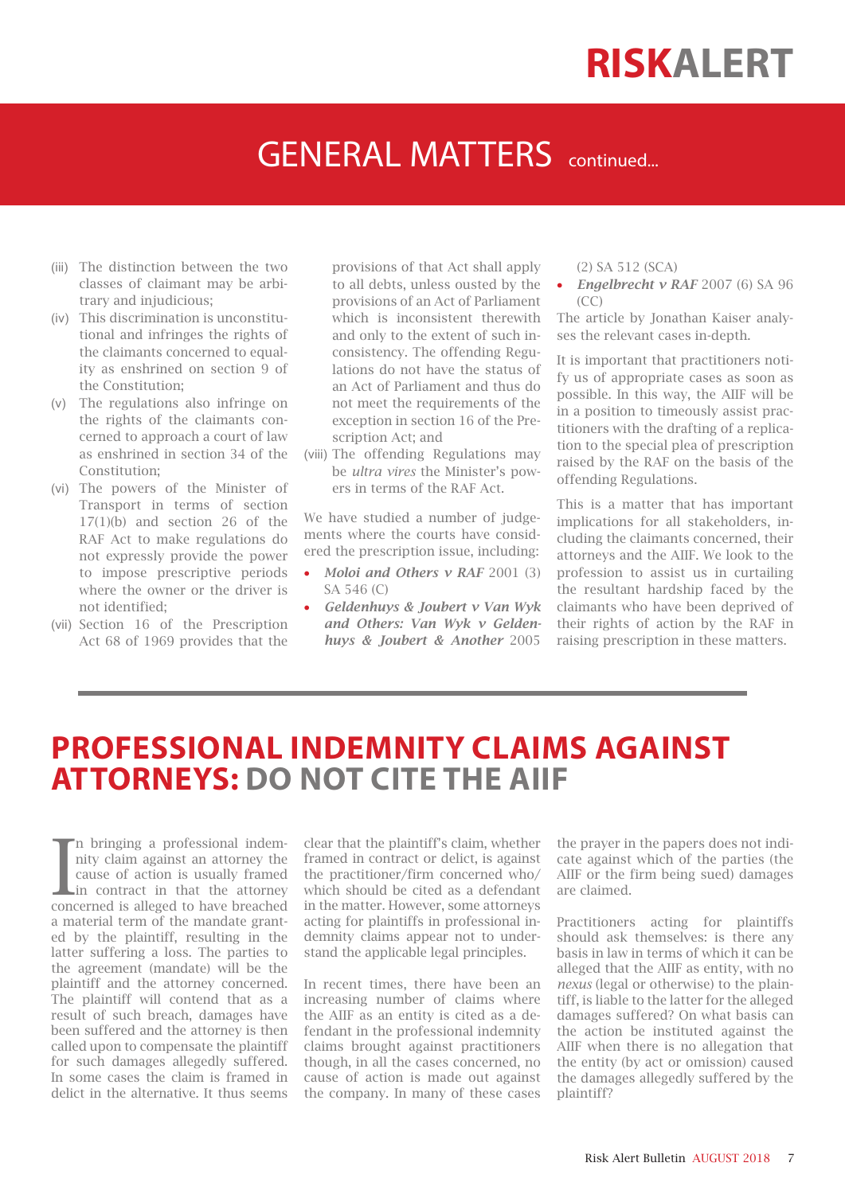### **GENERAL MATTERS** continued...

- (iii) The distinction between the two classes of claimant may be arbitrary and injudicious;
- (iv) This discrimination is unconstitutional and infringes the rights of the claimants concerned to equality as enshrined on section 9 of the Constitution;
- (v) The regulations also infringe on the rights of the claimants concerned to approach a court of law as enshrined in section 34 of the Constitution;
- (vi) The powers of the Minister of Transport in terms of section 17(1)(b) and section 26 of the RAF Act to make regulations do not expressly provide the power to impose prescriptive periods where the owner or the driver is not identified;
- (vii) Section 16 of the Prescription Act 68 of 1969 provides that the

provisions of that Act shall apply to all debts, unless ousted by the provisions of an Act of Parliament which is inconsistent therewith and only to the extent of such inconsistency. The offending Regulations do not have the status of an Act of Parliament and thus do not meet the requirements of the exception in section 16 of the Prescription Act; and

(viii) The offending Regulations may be *ultra vires* the Minister's powers in terms of the RAF Act.

We have studied a number of judgements where the courts have considered the prescription issue, including:

- *Moloi and Others v RAF* 2001 (3) SA 546 (C)
- *Geldenhuys & Joubert v Van Wyk and Others: Van Wyk v Geldenhuys & Joubert & Another* 2005

(2) SA 512 (SCA)

• *Engelbrecht v RAF* 2007 (6) SA 96  $(CC)$ 

The article by Jonathan Kaiser analyses the relevant cases in-depth.

It is important that practitioners notify us of appropriate cases as soon as possible. In this way, the AIIF will be in a position to timeously assist practitioners with the drafting of a replication to the special plea of prescription raised by the RAF on the basis of the offending Regulations.

This is a matter that has important implications for all stakeholders, including the claimants concerned, their attorneys and the AIIF. We look to the profession to assist us in curtailing the resultant hardship faced by the claimants who have been deprived of their rights of action by the RAF in raising prescription in these matters.

### **PROFESSIONAL INDEMNITY CLAIMS AGAINST ATTORNEYS: DO NOT CITE THE AIIF**

In bringing a professional indem-<br>nity claim against an attorney the<br>cause of action is usually framed<br>in contract in that the attorney<br>concerned is alleged to have breached n bringing a professional indemnity claim against an attorney the cause of action is usually framed in contract in that the attorney a material term of the mandate granted by the plaintiff, resulting in the latter suffering a loss. The parties to the agreement (mandate) will be the plaintiff and the attorney concerned. The plaintiff will contend that as a result of such breach, damages have been suffered and the attorney is then called upon to compensate the plaintiff for such damages allegedly suffered. In some cases the claim is framed in delict in the alternative. It thus seems

clear that the plaintiff's claim, whether framed in contract or delict, is against the practitioner/firm concerned who/ which should be cited as a defendant in the matter. However, some attorneys acting for plaintiffs in professional indemnity claims appear not to understand the applicable legal principles.

In recent times, there have been an increasing number of claims where the AIIF as an entity is cited as a defendant in the professional indemnity claims brought against practitioners though, in all the cases concerned, no cause of action is made out against the company. In many of these cases

the prayer in the papers does not indicate against which of the parties (the AIIF or the firm being sued) damages are claimed.

Practitioners acting for plaintiffs should ask themselves: is there any basis in law in terms of which it can be alleged that the AIIF as entity, with no *nexus* (legal or otherwise) to the plaintiff, is liable to the latter for the alleged damages suffered? On what basis can the action be instituted against the AIIF when there is no allegation that the entity (by act or omission) caused the damages allegedly suffered by the plaintiff?